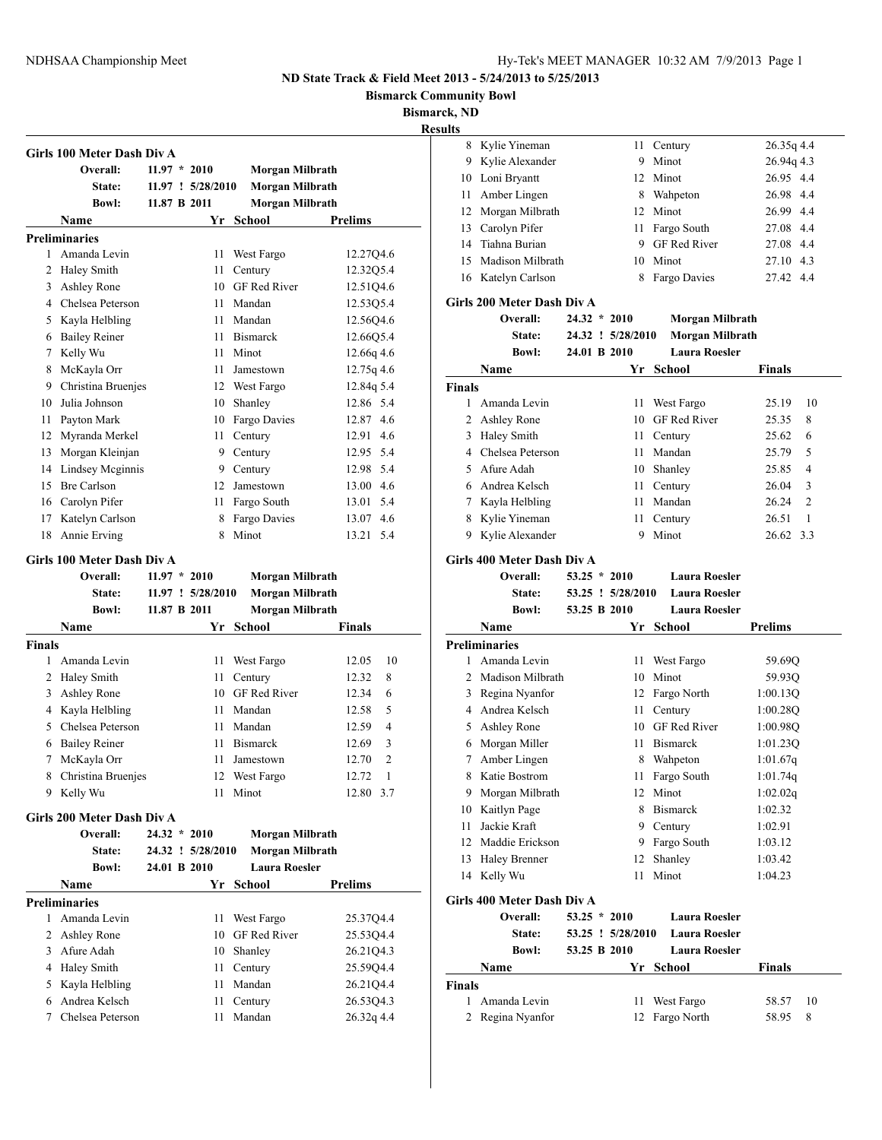Kylie Yineman 11 Century 26.35q 4.4

## **ND State Track & Field Meet 2013 - 5/24/2013 to 5/25/2013**

**Bismarck Community Bowl**

**Bismarck, ND**

|               | Girls 100 Meter Dash Div A             |                |                   |                        |                       |
|---------------|----------------------------------------|----------------|-------------------|------------------------|-----------------------|
|               | Overall:                               | $11.97 * 2010$ |                   | Morgan Milbrath        |                       |
|               | <b>State:</b>                          |                | 11.97 ! 5/28/2010 | Morgan Milbrath        |                       |
|               | <b>Bowl:</b>                           | 11.87 B 2011   |                   | Morgan Milbrath        |                       |
|               | Name                                   |                |                   | Yr School              | <b>Prelims</b>        |
|               | <b>Preliminaries</b>                   |                |                   |                        |                       |
| 1             | Amanda Levin                           |                | 11                | West Fargo             | 12.27Q4.6             |
| 2             | <b>Haley Smith</b>                     |                | 11                | Century                | 12.32Q5.4             |
| 3             | <b>Ashley Rone</b>                     |                |                   | 10 GF Red River        | 12.51Q4.6             |
|               | 4 Chelsea Peterson                     |                | 11                | Mandan                 | 12.5305.4             |
|               | 5 Kayla Helbling                       |                | 11                | Mandan                 | 12.56Q4.6             |
|               | 6 Bailey Reiner                        |                | 11                | <b>Bismarck</b>        | 12.66Q5.4             |
|               | 7 Kelly Wu                             |                | 11                | Minot                  | 12.66q 4.6            |
| 8             | McKayla Orr                            |                | 11                | Jamestown              | 12.75q 4.6            |
| 9             | Christina Bruenjes                     |                |                   | 12 West Fargo          | 12.84q 5.4            |
| 10            | Julia Johnson                          |                | 10                | Shanley                | 12.86 5.4             |
| 11            | Payton Mark                            |                | 10                | Fargo Davies           | 12.87<br>4.6          |
| 12            | Myranda Merkel                         |                | 11                | Century                | 4.6<br>12.91          |
| 13            | Morgan Kleinjan                        |                | 9                 | Century                | 12.95<br>5.4          |
| 14            | Lindsey Mcginnis                       |                |                   | 9 Century              | 12.98<br>5.4          |
| 15            | <b>Bre Carlson</b>                     |                |                   | 12 Jamestown           | 13.00 4.6             |
| 16            | Carolyn Pifer                          |                | 11                | Fargo South            | 5.4<br>13.01          |
| 17            | Katelyn Carlson                        |                | 8                 | Fargo Davies           | 4.6<br>13.07          |
| 18            | Annie Erving                           |                | 8                 | Minot                  | 5.4<br>13.21          |
|               |                                        |                |                   |                        |                       |
|               | Girls 100 Meter Dash Div A<br>Overall: | $11.97 * 2010$ |                   |                        |                       |
|               |                                        |                |                   | Morgan Milbrath        |                       |
|               | <b>State:</b><br><b>Bowl:</b>          | 11.87 B 2011   | 11.97 ! 5/28/2010 | Morgan Milbrath        |                       |
|               |                                        |                |                   | <b>Morgan Milbrath</b> |                       |
|               | Name                                   |                | Yr                | School                 | Finals                |
| <b>Finals</b> |                                        |                |                   |                        |                       |
|               |                                        |                |                   |                        |                       |
| 1             | Amanda Levin                           |                | 11                | West Fargo             | 10<br>12.05           |
| 2             | Haley Smith                            |                | 11                | Century                | 12.32<br>8            |
| 3             | Ashley Rone                            |                | 10                | <b>GF</b> Red River    | 6<br>12.34            |
|               | 4 Kayla Helbling                       |                | 11                | Mandan                 | 12.58<br>5            |
|               | 5 Chelsea Peterson                     |                | 11                | Mandan                 | 4<br>12.59            |
| 6             | <b>Bailey Reiner</b>                   |                | 11                | <b>Bismarck</b>        | 3<br>12.69            |
| 7             | McKayla Orr                            |                | 11                | Jamestown              | 2<br>12.70            |
|               | 8 Christina Bruenjes                   |                |                   | 12 West Fargo          | 12.72<br>$\mathbf{1}$ |
|               | 9 Kelly Wu                             |                |                   | 11 Minot               | 12.80 3.7             |
|               | Girls 200 Meter Dash Div A             |                |                   |                        |                       |
|               | Overall:                               | $24.32 * 2010$ |                   | Morgan Milbrath        |                       |
|               | State:                                 |                | 24.32 ! 5/28/2010 | <b>Morgan Milbrath</b> |                       |
|               | <b>Bowl:</b>                           | 24.01 B 2010   |                   | <b>Laura Roesler</b>   |                       |
|               | Name                                   |                | Yr                | <b>School</b>          | <b>Prelims</b>        |
|               | <b>Preliminaries</b>                   |                |                   |                        |                       |
| 1             | Amanda Levin                           |                | 11                | West Fargo             | 25.37Q4.4             |
|               | 2 Ashley Rone                          |                |                   | 10 GF Red River        | 25.53Q4.4             |
|               | 3 Afure Adah                           |                |                   | 10 Shanley             | 26.2104.3             |
|               | 4 Haley Smith                          |                |                   | 11 Century             | 25.59Q4.4             |
|               | 5 Kayla Helbling                       |                |                   | 11 Mandan              | 26.21Q4.4             |
|               | 6 Andrea Kelsch                        |                | 11 -              | Century                | 26.53Q4.3             |

|          | 9 Kylie Alexander                   |                | 9                 | Minot                           | 26.94q 4.3                |
|----------|-------------------------------------|----------------|-------------------|---------------------------------|---------------------------|
|          | 10 Loni Bryantt                     |                | 12                | Minot                           | 26.95 4.4                 |
| 11       | Amber Lingen                        |                | 8                 | Wahpeton                        | 26.98 4.4                 |
|          | 12 Morgan Milbrath                  |                |                   | 12 Minot                        | 26.99 4.4                 |
|          | 13 Carolyn Pifer                    |                |                   | 11 Fargo South                  | 27.08 4.4                 |
|          | 14 Tiahna Burian                    |                | 9.                | GF Red River                    | 27.08 4.4                 |
|          | 15 Madison Milbrath                 |                |                   | 10 Minot                        | 27.10 4.3                 |
|          | 16 Katelyn Carlson                  |                |                   | 8 Fargo Davies                  | 27.42 4.4                 |
|          |                                     |                |                   |                                 |                           |
|          | Girls 200 Meter Dash Div A          |                |                   |                                 |                           |
|          | Overall:                            | $24.32 * 2010$ |                   | <b>Morgan Milbrath</b>          |                           |
|          | State:                              |                | 24.32 ! 5/28/2010 | Morgan Milbrath                 |                           |
|          | <b>Bowl:</b>                        | 24.01 B 2010   |                   | <b>Laura Roesler</b>            |                           |
|          | Name                                |                |                   | Yr School                       | <b>Finals</b>             |
| Finals   |                                     |                |                   |                                 |                           |
| 1        | Amanda Levin                        |                | 11                | West Fargo                      | 25.19<br>10               |
| 2        | Ashley Rone                         |                | 10                | GF Red River                    | 8<br>25.35                |
|          | 3 Haley Smith                       |                | 11 -              | Century                         | 25.62<br>6                |
|          | 4 Chelsea Peterson                  |                | 11                | Mandan                          | 5<br>25.79                |
| 5        | Afure Adah                          |                |                   | 10 Shanley                      | 4<br>25.85                |
|          | 6 Andrea Kelsch                     |                |                   | 11 Century                      | 26.04<br>3                |
|          | 7 Kayla Helbling                    |                | 11 -              | Mandan                          | 26.24<br>2                |
|          | 8 Kylie Yineman                     |                | 11 -              | Century                         | 26.51<br>1                |
| 9        | Kylie Alexander                     |                | 9                 | Minot                           | 26.62 3.3                 |
|          | Girls 400 Meter Dash Div A          |                |                   |                                 |                           |
|          | Overall:                            | $53.25 * 2010$ |                   | <b>Laura Roesler</b>            |                           |
|          |                                     |                |                   |                                 |                           |
|          |                                     |                |                   |                                 |                           |
|          | State:                              |                | 53.25 ! 5/28/2010 | <b>Laura Roesler</b>            |                           |
|          | <b>Bowl:</b>                        | 53.25 B 2010   |                   | <b>Laura Roesler</b>            |                           |
|          | Name                                |                |                   | Yr School                       | Prelims                   |
| 1        | <b>Preliminaries</b>                |                |                   |                                 |                           |
|          | Amanda Levin                        |                | 11                | West Fargo                      | 59.69Q                    |
|          | 2 Madison Milbrath                  |                | 10                | Minot                           | 59.93Q                    |
|          | 3 Regina Nyanfor<br>4 Andrea Kelsch |                |                   | 12 Fargo North                  | 1:00.13Q                  |
|          |                                     |                | 11                | Century                         | 1:00.28Q                  |
|          | 5 Ashley Rone                       |                | 10<br>11          | GF Red River<br><b>Bismarck</b> | 1:00.98Q                  |
| 7        | 6 Morgan Miller                     |                | 8                 |                                 | 1:01.23Q                  |
|          | Amber Lingen<br>Katie Bostrom       |                |                   | Wahpeton                        | 1:01.67q                  |
| 8        |                                     |                | 11                | Fargo South                     | 1:01.74q                  |
| 9        | Morgan Milbrath                     |                | 12<br>8           | Minot                           | 1:02.02q                  |
| 10       | Kaitlyn Page<br>Jackie Kraft        |                | 9.                | <b>Bismarck</b>                 | 1:02.32                   |
| 11<br>12 | Maddie Erickson                     |                |                   | Century                         | 1:02.91                   |
|          |                                     |                | 9.                | Fargo South                     | 1:03.12                   |
| 13       | <b>Haley Brenner</b>                |                | 12                | Shanley                         | 1:03.42                   |
|          | 14 Kelly Wu                         |                | 11                | Minot                           | 1:04.23                   |
|          | Girls 400 Meter Dash Div A          |                |                   |                                 |                           |
|          | Overall:                            | $53.25 * 2010$ |                   | <b>Laura Roesler</b>            |                           |
|          | State:                              |                | 53.25 ! 5/28/2010 | <b>Laura Roesler</b>            |                           |
|          | <b>Bowl:</b>                        | 53.25 B 2010   |                   | Laura Roesler                   |                           |
|          | Name                                |                |                   | Yr School                       | <b>Finals</b>             |
| Finals   |                                     |                |                   |                                 |                           |
| 1<br>2   | Amanda Levin<br>Regina Nyanfor      |                | 11<br>12          | West Fargo<br>Fargo North       | 10<br>58.57<br>8<br>58.95 |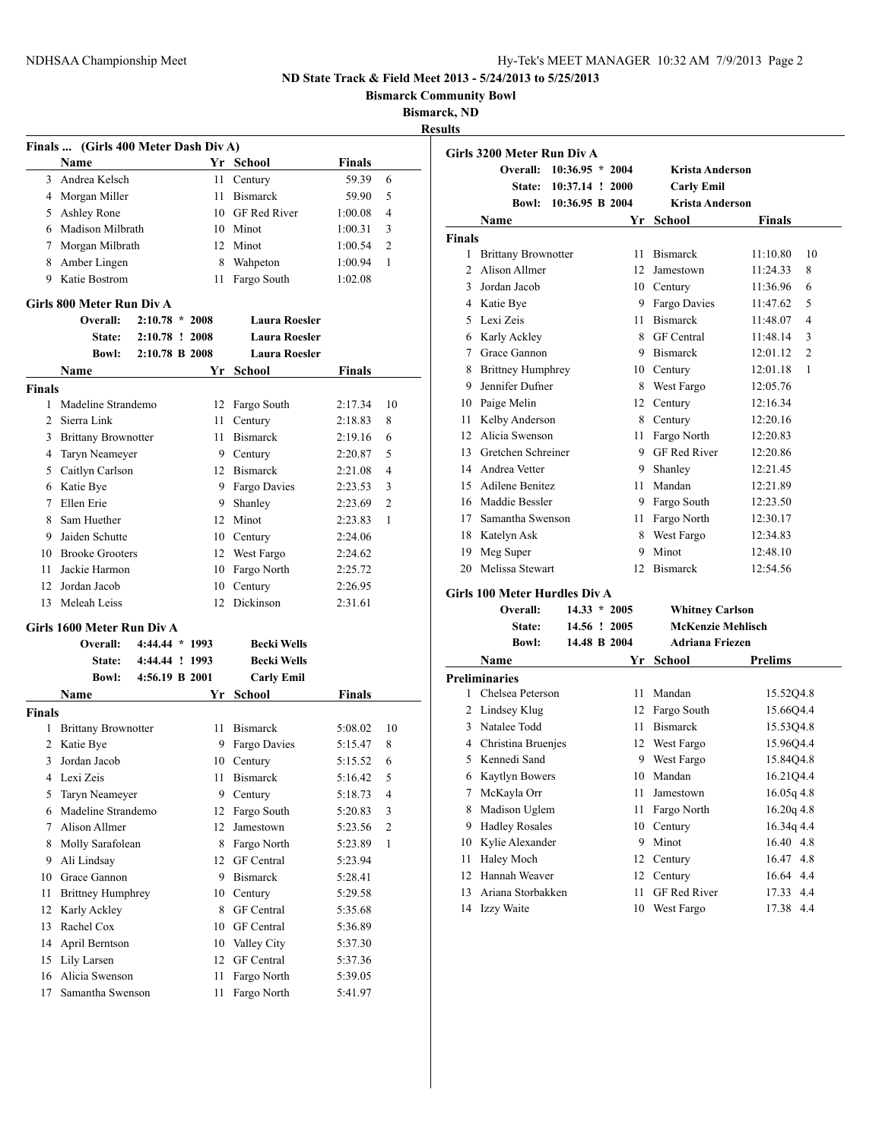**Bismarck Community Bowl**

## **Bismarck, ND**

**Results**

|               | Finals  (Girls 400 Meter Dash Div A) |                  |    |                      |               |    |
|---------------|--------------------------------------|------------------|----|----------------------|---------------|----|
|               | Name                                 |                  |    | Yr School            | Finals        |    |
| 3             | Andrea Kelsch                        |                  | 11 | Century              | 59.39         | 6  |
|               | 4 Morgan Miller                      |                  | 11 | <b>Bismarck</b>      | 59.90         | 5  |
| 5             | Ashley Rone                          |                  |    | 10 GF Red River      | 1:00.08       | 4  |
|               | 6 Madison Milbrath                   |                  |    | 10 Minot             | 1:00.31       | 3  |
|               | 7 Morgan Milbrath                    |                  |    | 12 Minot             | 1:00.54       | 2  |
| 8             | Amber Lingen                         |                  |    | 8 Wahpeton           | 1:00.94       | 1  |
| 9.            | Katie Bostrom                        |                  | 11 | Fargo South          | 1:02.08       |    |
|               | Girls 800 Meter Run Div A            |                  |    |                      |               |    |
|               | Overall:                             | $2:10.78 * 2008$ |    | <b>Laura Roesler</b> |               |    |
|               | <b>State:</b>                        | 2:10.78 ! 2008   |    | <b>Laura Roesler</b> |               |    |
|               | <b>Bowl:</b>                         | 2:10.78 B 2008   |    | <b>Laura Roesler</b> |               |    |
|               | Name                                 |                  |    | Yr School            | <b>Finals</b> |    |
| Finals        |                                      |                  |    |                      |               |    |
| 1             | Madeline Strandemo                   |                  | 12 | Fargo South          | 2:17.34       | 10 |
|               | 2 Sierra Link                        |                  | 11 | Century              | 2:18.83       | 8  |
|               | 3 Brittany Brownotter                |                  |    | 11 Bismarck          | 2:19.16       | 6  |
|               | 4 Taryn Neameyer                     |                  |    | 9 Century            | 2:20.87       | 5  |
|               | 5 Caitlyn Carlson                    |                  |    | 12 Bismarck          | 2:21.08       | 4  |
|               | 6 Katie Bye                          |                  |    | 9 Fargo Davies       | 2:23.53       | 3  |
| $\tau$        | Ellen Erie                           |                  |    | 9 Shanley            | 2:23.69       | 2  |
| 8             | Sam Huether                          |                  |    | 12 Minot             | 2:23.83       | 1  |
| 9.            | Jaiden Schutte                       |                  |    | 10 Century           | 2:24.06       |    |
|               | 10 Brooke Grooters                   |                  |    | 12 West Fargo        | 2:24.62       |    |
| 11            | Jackie Harmon                        |                  |    | 10 Fargo North       | 2:25.72       |    |
| 12            | Jordan Jacob                         |                  | 10 | Century              | 2:26.95       |    |
| 13            | Meleah Leiss                         |                  | 12 | Dickinson            | 2:31.61       |    |
|               |                                      |                  |    |                      |               |    |
|               | Girls 1600 Meter Run Div A           |                  |    |                      |               |    |
|               | Overall:                             | 4:44.44 * 1993   |    | <b>Becki Wells</b>   |               |    |
|               | <b>State:</b>                        | 4:44.44 ! 1993   |    | <b>Becki Wells</b>   |               |    |
|               | <b>Bowl:</b>                         | 4:56.19 B 2001   |    | <b>Carly Emil</b>    |               |    |
|               | Name                                 |                  |    | Yr School            | <b>Finals</b> |    |
| <b>Finals</b> |                                      |                  |    |                      |               |    |
| 1             | <b>Brittany Brownotter</b>           |                  | 11 | <b>Bismarck</b>      | 5:08.02       | 10 |
|               | 2 Katie Bye                          |                  |    | 9 Fargo Davies       | 5:15.47       | 8  |
| 3             | Jordan Jacob                         |                  |    | 10 Century           | 5:15.52       | 6  |
| 4             | Lexi Zeis                            |                  | 11 | <b>Bismarck</b>      | 5:16.42       | 5  |
| 5             | Taryn Neameyer                       |                  |    | 9 Century            | 5:18.73       | 4  |
| 6             | Madeline Strandemo                   |                  | 12 | Fargo South          | 5:20.83       | 3  |
| 7             | Alison Allmer                        |                  | 12 | Jamestown            | 5:23.56       | 2  |
| 8             | Molly Sarafolean                     |                  | 8  | Fargo North          | 5:23.89       | 1  |
| 9             | Ali Lindsay                          |                  | 12 | <b>GF</b> Central    | 5:23.94       |    |
| 10            | Grace Gannon                         |                  | 9. | <b>Bismarck</b>      | 5:28.41       |    |
| 11            | <b>Brittney Humphrey</b>             |                  | 10 | Century              | 5:29.58       |    |
| 12            | Karly Ackley                         |                  | 8  | <b>GF</b> Central    | 5:35.68       |    |
| 13            | Rachel Cox                           |                  |    | 10 GF Central        | 5:36.89       |    |
| 14            | April Berntson                       |                  | 10 | Valley City          | 5:37.30       |    |
| 15            | Lily Larsen                          |                  | 12 | <b>GF</b> Central    | 5:37.36       |    |
| 16            | Alicia Swenson                       |                  | 11 | Fargo North          | 5:39.05       |    |
| 17            | Samantha Swenson                     |                  | 11 | Fargo North          | 5:41.97       |    |

| Girls 3200 Meter Run Div A |                                      |                   |                |                          |                            |  |  |
|----------------------------|--------------------------------------|-------------------|----------------|--------------------------|----------------------------|--|--|
|                            | Overall:                             | $10:36.95 * 2004$ |                | <b>Krista Anderson</b>   |                            |  |  |
|                            | State:                               | 10:37.14 ! 2000   |                | <b>Carly Emil</b>        |                            |  |  |
|                            | <b>Bowl:</b>                         | 10:36.95 B 2004   |                | <b>Krista Anderson</b>   |                            |  |  |
|                            | Name                                 |                   |                | Yr School                | <b>Finals</b>              |  |  |
| <b>Finals</b>              |                                      |                   |                |                          |                            |  |  |
| 1                          | <b>Brittany Brownotter</b>           |                   | 11             | <b>Bismarck</b>          | 10<br>11:10.80             |  |  |
| $\overline{c}$             | Alison Allmer                        |                   |                | 12 Jamestown             | 11:24.33<br>8              |  |  |
| 3                          | Jordan Jacob                         |                   |                | 10 Century               | 6<br>11:36.96              |  |  |
|                            | 4 Katie Bye                          |                   |                | 9 Fargo Davies           | 5<br>11:47.62              |  |  |
|                            | 5 Lexi Zeis                          |                   | 11             | <b>Bismarck</b>          | 4<br>11:48.07              |  |  |
|                            | 6 Karly Ackley                       |                   |                | 8 GF Central             | 3<br>11:48.14              |  |  |
|                            | 7 Grace Gannon                       |                   |                | 9 Bismarck               | $\overline{2}$<br>12:01.12 |  |  |
|                            | 8 Brittney Humphrey                  |                   |                | 10 Century               | 12:01.18<br>1              |  |  |
|                            | 9 Jennifer Dufner                    |                   |                | 8 West Fargo             | 12:05.76                   |  |  |
|                            | 10 Paige Melin                       |                   |                | 12 Century               | 12:16.34                   |  |  |
|                            | 11 Kelby Anderson                    |                   |                | 8 Century                | 12:20.16                   |  |  |
|                            | 12 Alicia Swenson                    |                   | 11 -           | Fargo North              | 12:20.83                   |  |  |
|                            | 13 Gretchen Schreiner                |                   |                | 9 GF Red River           | 12:20.86                   |  |  |
|                            | 14 Andrea Vetter                     |                   |                | 9 Shanley                | 12:21.45                   |  |  |
|                            | 15 Adilene Benitez                   |                   |                | 11 Mandan                | 12:21.89                   |  |  |
|                            | 16 Maddie Bessler                    |                   |                | 9 Fargo South            | 12:23.50                   |  |  |
|                            | 17 Samantha Swenson                  |                   |                | 11 Fargo North           | 12:30.17                   |  |  |
|                            | 18 Katelyn Ask                       |                   |                | 8 West Fargo             | 12:34.83                   |  |  |
|                            | 19 Meg Super                         |                   | 9              | Minot                    | 12:48.10                   |  |  |
| 20                         | Melissa Stewart                      |                   | 12             | <b>Bismarck</b>          | 12:54.56                   |  |  |
|                            | <b>Girls 100 Meter Hurdles Div A</b> |                   |                |                          |                            |  |  |
|                            | Overall:                             |                   | $14.33 * 2005$ | <b>Whitney Carlson</b>   |                            |  |  |
|                            | State:                               |                   | 14.56 ! 2005   | <b>McKenzie Mehlisch</b> |                            |  |  |
|                            | <b>Bowl:</b>                         |                   | 14.48 B 2004   | <b>Adriana Friezen</b>   |                            |  |  |
|                            | Name                                 |                   | Yr             | <b>School</b>            | <b>Prelims</b>             |  |  |
|                            | <b>Preliminaries</b>                 |                   |                |                          |                            |  |  |
| 1                          | Chelsea Peterson                     |                   |                | 11 Mandan                | 15.52Q4.8                  |  |  |
|                            | 2 Lindsey Klug                       |                   |                | 12 Fargo South           | 15.66Q4.4                  |  |  |
|                            | 3 Natalee Todd                       |                   |                | 11 Bismarck              | 15.53Q4.8                  |  |  |
|                            | 4 Christina Bruenjes                 |                   |                | 12 West Fargo            | 15.96Q4.4                  |  |  |
|                            | 5 Kennedi Sand                       |                   |                | 9 West Fargo             | 15.84Q4.8                  |  |  |
|                            | 6 Kaytlyn Bowers                     |                   |                | 10 Mandan                | 16.21Q4.4                  |  |  |
|                            | 7 McKayla Orr                        |                   |                | 11 Jamestown             | $16.05q$ 4.8               |  |  |
| 8                          | Madison Uglem                        |                   |                | 11 Fargo North           | $16.20q$ 4.8               |  |  |
|                            | 9 Hadley Rosales                     |                   |                | 10 Century               | 16.34q 4.4                 |  |  |
|                            | 10 Kylie Alexander                   |                   |                | 9 Minot                  | 16.40 4.8                  |  |  |
| 11                         | <b>Haley Moch</b>                    |                   |                | 12 Century               | 16.47 4.8                  |  |  |
| 12                         | Hannah Weaver                        |                   | 12             | Century                  | 16.64 4.4                  |  |  |

 Ariana Storbakken 11 GF Red River 17.33 4.4 Izzy Waite 10 West Fargo 17.38 4.4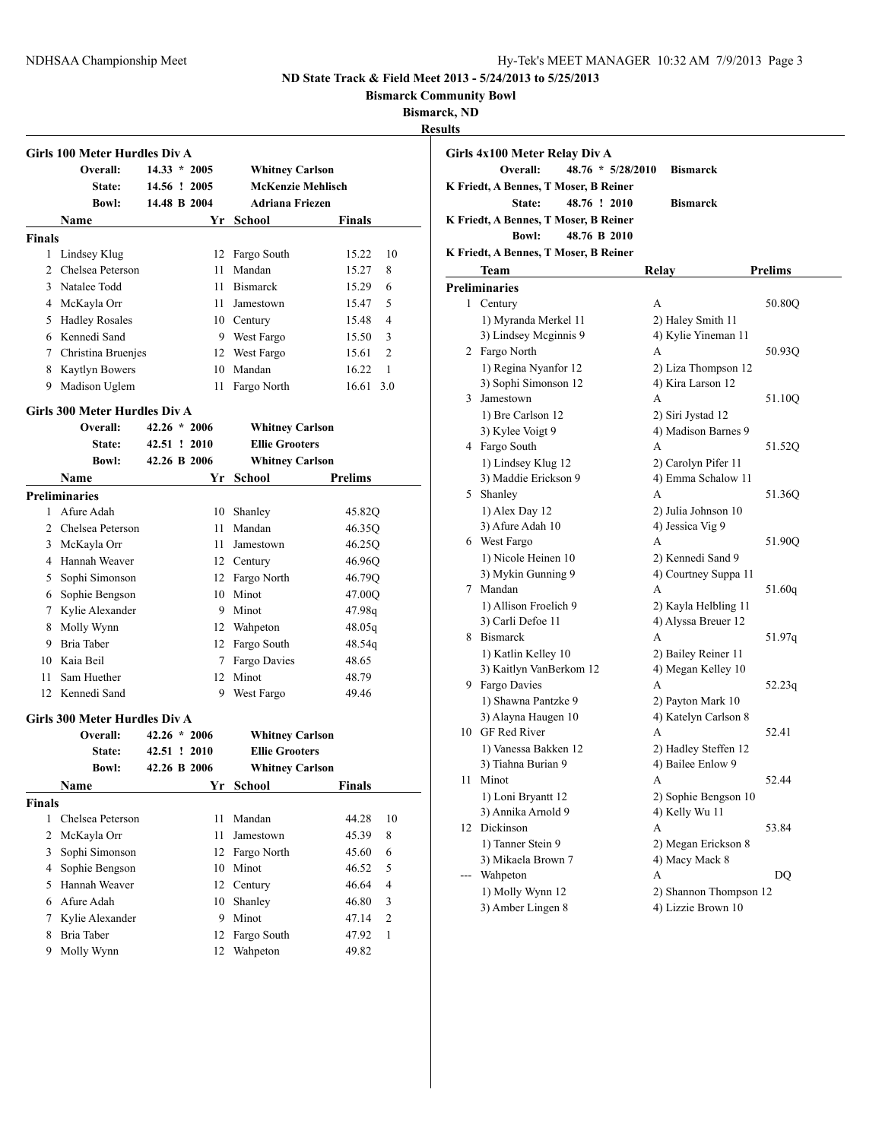**Bismarck Community Bowl**

**Bismarck, ND**

| Results |
|---------|
|---------|

| Girls 100 Meter Hurdles Div A |                                           |                |  |    |                        |                         |  |
|-------------------------------|-------------------------------------------|----------------|--|----|------------------------|-------------------------|--|
|                               | Overall:                                  | $14.33 * 2005$ |  |    | <b>Whitney Carlson</b> |                         |  |
|                               | <b>State:</b>                             | 14.56 ! 2005   |  |    | McKenzie Mehlisch      |                         |  |
|                               | <b>Bowl:</b>                              | 14.48 B 2004   |  |    | <b>Adriana Friezen</b> |                         |  |
|                               | Name                                      |                |  | Yr | <b>School</b>          | Finals                  |  |
| <b>Finals</b>                 |                                           |                |  |    |                        |                         |  |
| 1                             | Lindsey Klug                              |                |  |    | 12 Fargo South         | 15.22<br>10             |  |
| $\overline{2}$                | Chelsea Peterson                          |                |  |    | 11 Mandan              | 15.27<br>8              |  |
| 3                             | Natalee Todd                              |                |  |    | 11 Bismarck            | 15.29<br>6              |  |
|                               | 4 McKayla Orr                             |                |  |    | 11 Jamestown           | 5<br>15.47              |  |
|                               | 5 Hadley Rosales                          |                |  |    | 10 Century             | 4<br>15.48              |  |
|                               | 6 Kennedi Sand                            |                |  |    | 9 West Fargo           | 3<br>15.50              |  |
|                               | 7 Christina Bruenjes                      |                |  |    | 12 West Fargo          | 15.61<br>2              |  |
|                               | 8 Kaytlyn Bowers                          |                |  |    | 10 Mandan              | 16.22<br>1              |  |
| 9                             | Madison Uglem                             |                |  | 11 | Fargo North            | 16.61 3.0               |  |
|                               |                                           |                |  |    |                        |                         |  |
|                               | Girls 300 Meter Hurdles Div A<br>Overall: | $42.26 * 2006$ |  |    |                        |                         |  |
|                               |                                           | 42.51 ! 2010   |  |    | <b>Whitney Carlson</b> |                         |  |
|                               | <b>State:</b>                             | 42.26 B 2006   |  |    | <b>Ellie Grooters</b>  |                         |  |
|                               | <b>Bowl:</b>                              |                |  |    | <b>Whitney Carlson</b> |                         |  |
|                               | <b>Name</b>                               |                |  | Yr | <b>School</b>          | Prelims                 |  |
| 1                             | <b>Preliminaries</b>                      |                |  |    |                        |                         |  |
|                               | Afure Adah                                |                |  |    | 10 Shanley             | 45.82Q                  |  |
|                               | 2 Chelsea Peterson                        |                |  |    | 11 Mandan              | 46.35Q                  |  |
|                               | 3 McKayla Orr                             |                |  |    | 11 Jamestown           | 46.25Q                  |  |
|                               | 4 Hannah Weaver                           |                |  |    | 12 Century             | 46.96Q                  |  |
| 5                             | Sophi Simonson                            |                |  |    | 12 Fargo North         | 46.79Q                  |  |
|                               | 6 Sophie Bengson                          |                |  |    | 10 Minot               | 47.00Q                  |  |
|                               | 7 Kylie Alexander                         |                |  |    | 9 Minot                | 47.98q                  |  |
|                               | 8 Molly Wynn                              |                |  |    | 12 Wahpeton            | 48.05q                  |  |
|                               | 9 Bria Taber                              |                |  |    | 12 Fargo South         | 48.54q                  |  |
|                               | 10 Kaia Beil                              |                |  |    | 7 Fargo Davies         | 48.65                   |  |
| 11                            | Sam Huether                               |                |  |    | 12 Minot               | 48.79                   |  |
| 12                            | Kennedi Sand                              |                |  | 9  | West Fargo             | 49.46                   |  |
|                               | Girls 300 Meter Hurdles Div A             |                |  |    |                        |                         |  |
|                               | Overall:                                  | $42.26 * 2006$ |  |    | <b>Whitney Carlson</b> |                         |  |
|                               | <b>State:</b>                             | 42.51 ! 2010   |  |    | <b>Ellie Grooters</b>  |                         |  |
|                               | <b>Bowl:</b>                              | 42.26 B 2006   |  |    | <b>Whitney Carlson</b> |                         |  |
|                               | Name                                      |                |  |    | Yr School              | <b>Finals</b>           |  |
| Finals                        |                                           |                |  |    |                        |                         |  |
| $\mathbf{1}$                  | Chelsea Peterson                          |                |  | 11 | Mandan                 | 44.28<br>10             |  |
| 2                             | McKayla Orr                               |                |  | 11 | Jamestown              | 45.39<br>8              |  |
| 3                             | Sophi Simonson                            |                |  | 12 | Fargo North            | 45.60<br>6              |  |
| 4                             | Sophie Bengson                            |                |  | 10 | Minot                  | 46.52<br>5              |  |
| 5                             | Hannah Weaver                             |                |  | 12 |                        | $\overline{4}$<br>46.64 |  |
|                               | Afure Adah                                |                |  |    | Century                |                         |  |
| 6                             |                                           |                |  | 10 | Shanley                | 46.80<br>3              |  |
| 7                             | Kylie Alexander                           |                |  | 9  | Minot                  | $\overline{c}$<br>47.14 |  |
| 8                             | Bria Taber                                |                |  | 12 | Fargo South            | 1<br>47.92              |  |
| 9                             | Molly Wynn                                |                |  | 12 | Wahpeton               | 49.82                   |  |

|     | Girls 4x100 Meter Relay Div A         |                        |                |
|-----|---------------------------------------|------------------------|----------------|
|     | 48.76 * 5/28/2010<br>Overall:         | <b>Bismarck</b>        |                |
|     |                                       |                        |                |
|     | K Friedt, A Bennes, T Moser, B Reiner |                        |                |
|     | 48.76 ! 2010<br>State:                | <b>Bismarck</b>        |                |
|     | K Friedt, A Bennes, T Moser, B Reiner |                        |                |
|     | 48.76 B 2010<br><b>Bowl:</b>          |                        |                |
|     | K Friedt, A Bennes, T Moser, B Reiner |                        |                |
|     | Team                                  | Relay                  | <b>Prelims</b> |
|     | <b>Preliminaries</b>                  |                        |                |
| 1   | Century                               | A                      | 50.80Q         |
|     | 1) Myranda Merkel 11                  | 2) Haley Smith 11      |                |
|     | 3) Lindsey Mcginnis 9                 | 4) Kylie Yineman 11    |                |
|     | 2 Fargo North                         | A                      | 50.93Q         |
|     | 1) Regina Nyanfor 12                  | 2) Liza Thompson 12    |                |
|     | 3) Sophi Simonson 12                  | 4) Kira Larson 12      |                |
|     | 3 Jamestown                           | A                      | 51.10Q         |
|     | 1) Bre Carlson 12                     | 2) Siri Jystad 12      |                |
|     | 3) Kylee Voigt 9                      | 4) Madison Barnes 9    |                |
|     | 4 Fargo South                         | A                      | 51.52Q         |
|     | 1) Lindsey Klug 12                    | 2) Carolyn Pifer 11    |                |
|     | 3) Maddie Erickson 9                  | 4) Emma Schalow 11     |                |
|     | 5 Shanley                             | A                      | 51.36Q         |
|     | 1) Alex Day 12                        | 2) Julia Johnson 10    |                |
|     | 3) Afure Adah 10                      | 4) Jessica Vig 9       |                |
|     | 6 West Fargo                          | A                      | 51.90Q         |
|     | 1) Nicole Heinen 10                   | 2) Kennedi Sand 9      |                |
|     | 3) Mykin Gunning 9                    | 4) Courtney Suppa 11   |                |
|     | 7 Mandan                              | A                      | 51.60q         |
|     | 1) Allison Froelich 9                 | 2) Kayla Helbling 11   |                |
|     | 3) Carli Defoe 11                     | 4) Alyssa Breuer 12    |                |
|     | 8 Bismarck                            | A                      | 51.97q         |
|     | 1) Katlin Kelley 10                   | 2) Bailey Reiner 11    |                |
|     | 3) Kaitlyn VanBerkom 12               | 4) Megan Kelley 10     |                |
|     | 9 Fargo Davies                        | А                      | 52.23q         |
|     | 1) Shawna Pantzke 9                   | 2) Payton Mark 10      |                |
|     | 3) Alayna Haugen 10                   | 4) Katelyn Carlson 8   |                |
|     | 10 GF Red River                       | А                      | 52.41          |
|     | 1) Vanessa Bakken 12                  | 2) Hadley Steffen 12   |                |
|     | 3) Tiahna Burian 9                    | 4) Bailee Enlow 9      |                |
| 11  | Minot                                 | A                      | 52.44          |
|     | 1) Loni Bryantt 12                    | 2) Sophie Bengson 10   |                |
|     | 3) Annika Arnold 9                    | 4) Kelly Wu 11         |                |
| 12  | Dickinson                             | A                      | 53.84          |
|     | 1) Tanner Stein 9                     | 2) Megan Erickson 8    |                |
|     | 3) Mikaela Brown 7                    | 4) Macy Mack 8         |                |
| --- | Wahpeton                              | A                      | DQ             |
|     | 1) Molly Wynn 12                      | 2) Shannon Thompson 12 |                |
|     | 3) Amber Lingen 8                     | 4) Lizzie Brown 10     |                |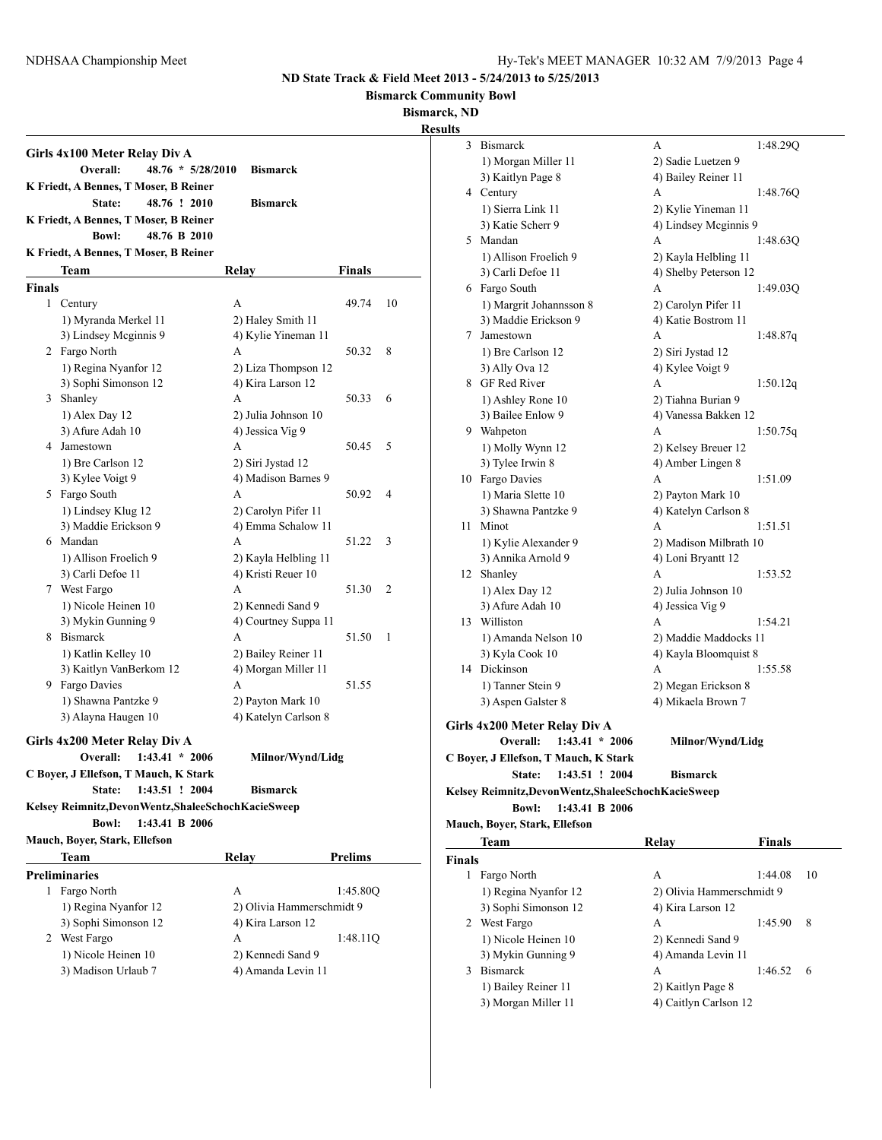**Bismarck Community Bowl**

**Bismarck, ND**

| Girls 4x100 Meter Relay Div A |                                                         |                           |                |    |  |  |  |  |  |
|-------------------------------|---------------------------------------------------------|---------------------------|----------------|----|--|--|--|--|--|
|                               | Overall:<br>$48.76 * 5/28/2010$<br><b>Bismarck</b>      |                           |                |    |  |  |  |  |  |
|                               | K Friedt, A Bennes, T Moser, B Reiner                   |                           |                |    |  |  |  |  |  |
|                               | 48.76 ! 2010<br>State:                                  | <b>Bismarck</b>           |                |    |  |  |  |  |  |
|                               | K Friedt, A Bennes, T Moser, B Reiner                   |                           |                |    |  |  |  |  |  |
|                               | 48.76 B 2010<br><b>Bowl:</b>                            |                           |                |    |  |  |  |  |  |
|                               | K Friedt, A Bennes, T Moser, B Reiner                   |                           |                |    |  |  |  |  |  |
|                               | Team                                                    | Relay                     | Finals         |    |  |  |  |  |  |
| <b>Finals</b>                 |                                                         |                           |                |    |  |  |  |  |  |
|                               | 1 Century                                               | A                         | 49.74          | 10 |  |  |  |  |  |
|                               | 1) Myranda Merkel 11                                    | 2) Haley Smith 11         |                |    |  |  |  |  |  |
|                               | 3) Lindsey Mcginnis 9                                   | 4) Kylie Yineman 11       |                |    |  |  |  |  |  |
|                               | 2 Fargo North                                           | A                         | 50.32          | 8  |  |  |  |  |  |
|                               | 1) Regina Nyanfor 12                                    | 2) Liza Thompson 12       |                |    |  |  |  |  |  |
|                               | 3) Sophi Simonson 12                                    | 4) Kira Larson 12         |                |    |  |  |  |  |  |
|                               | 3 Shanley                                               | A                         | 50.33          | 6  |  |  |  |  |  |
|                               | 1) Alex Day 12                                          | 2) Julia Johnson 10       |                |    |  |  |  |  |  |
|                               | 3) Afure Adah 10                                        | 4) Jessica Vig 9          |                |    |  |  |  |  |  |
|                               | 4 Jamestown                                             | A                         | 50.45          | 5  |  |  |  |  |  |
|                               | 1) Bre Carlson 12                                       | 2) Siri Jystad 12         |                |    |  |  |  |  |  |
|                               | 3) Kylee Voigt 9                                        | 4) Madison Barnes 9       |                |    |  |  |  |  |  |
|                               | 5 Fargo South                                           | A                         | 50.92          | 4  |  |  |  |  |  |
|                               | 1) Lindsey Klug 12                                      | 2) Carolyn Pifer 11       |                |    |  |  |  |  |  |
|                               | 3) Maddie Erickson 9                                    | 4) Emma Schalow 11        |                |    |  |  |  |  |  |
|                               | 6 Mandan                                                | A                         | 51.22          | 3  |  |  |  |  |  |
|                               | 1) Allison Froelich 9                                   | 2) Kayla Helbling 11      |                |    |  |  |  |  |  |
|                               | 3) Carli Defoe 11                                       | 4) Kristi Reuer 10        |                |    |  |  |  |  |  |
|                               | 7 West Fargo                                            | A                         | 51.30          | 2  |  |  |  |  |  |
|                               | 1) Nicole Heinen 10                                     | 2) Kennedi Sand 9         |                |    |  |  |  |  |  |
|                               | 3) Mykin Gunning 9                                      | 4) Courtney Suppa 11      |                |    |  |  |  |  |  |
|                               | 8 Bismarck                                              | A                         | 51.50          | 1  |  |  |  |  |  |
|                               | 1) Katlin Kelley 10                                     | 2) Bailey Reiner 11       |                |    |  |  |  |  |  |
|                               | 3) Kaitlyn VanBerkom 12                                 | 4) Morgan Miller 11       |                |    |  |  |  |  |  |
|                               | 9 Fargo Davies                                          | A                         | 51.55          |    |  |  |  |  |  |
|                               | 1) Shawna Pantzke 9                                     | 2) Payton Mark 10         |                |    |  |  |  |  |  |
|                               | 3) Alayna Haugen 10                                     | 4) Katelyn Carlson 8      |                |    |  |  |  |  |  |
|                               |                                                         |                           |                |    |  |  |  |  |  |
|                               | Girls 4x200 Meter Relay Div A                           |                           |                |    |  |  |  |  |  |
|                               | $1:43.41 * 2006$<br>Overall:                            | Milnor/Wynd/Lidg          |                |    |  |  |  |  |  |
|                               | C Boyer, J Ellefson, T Mauch, K Stark                   |                           |                |    |  |  |  |  |  |
|                               | 1:43.51 ! 2004<br>State:                                | <b>Bismarck</b>           |                |    |  |  |  |  |  |
|                               | Kelsey Reimnitz, Devon Wentz, Shalee Schoch Kacie Sweep |                           |                |    |  |  |  |  |  |
|                               | 1:43.41 B 2006<br><b>Bowl:</b>                          |                           |                |    |  |  |  |  |  |
|                               | Mauch, Boyer, Stark, Ellefson                           |                           |                |    |  |  |  |  |  |
|                               | Team                                                    | Relay                     | <b>Prelims</b> |    |  |  |  |  |  |
|                               | <b>Preliminaries</b>                                    |                           |                |    |  |  |  |  |  |
|                               | 1 Fargo North                                           | A                         | 1:45.80Q       |    |  |  |  |  |  |
|                               | 1) Regina Nyanfor 12                                    | 2) Olivia Hammerschmidt 9 |                |    |  |  |  |  |  |
|                               | 3) Sophi Simonson 12                                    | 4) Kira Larson 12         |                |    |  |  |  |  |  |
|                               | 2 West Fargo                                            | A                         | 1:48.11Q       |    |  |  |  |  |  |
|                               | 1) Nicole Heinen 10                                     | 2) Kennedi Sand 9         |                |    |  |  |  |  |  |
|                               | 3) Madison Urlaub 7                                     | 4) Amanda Levin 11        |                |    |  |  |  |  |  |
|                               |                                                         |                           |                |    |  |  |  |  |  |

| 3             | <b>Bismarck</b>                                         | А                         | 1:48.29Q      |    |
|---------------|---------------------------------------------------------|---------------------------|---------------|----|
|               | 1) Morgan Miller 11                                     | 2) Sadie Luetzen 9        |               |    |
|               | 3) Kaitlyn Page 8                                       | 4) Bailey Reiner 11       |               |    |
|               | 4 Century                                               | A                         | 1:48.76Q      |    |
|               | 1) Sierra Link 11                                       | 2) Kylie Yineman 11       |               |    |
|               | 3) Katie Scherr 9                                       | 4) Lindsey Meginnis 9     |               |    |
|               | 5 Mandan                                                | A                         | 1:48.63Q      |    |
|               | 1) Allison Froelich 9                                   | 2) Kayla Helbling 11      |               |    |
|               | 3) Carli Defoe 11                                       | 4) Shelby Peterson 12     |               |    |
|               | 6 Fargo South                                           | А                         | 1:49.03Q      |    |
|               | 1) Margrit Johannsson 8                                 | 2) Carolyn Pifer 11       |               |    |
|               | 3) Maddie Erickson 9                                    | 4) Katie Bostrom 11       |               |    |
| 7             | Jamestown                                               | A                         | 1:48.87q      |    |
|               |                                                         |                           |               |    |
|               | 1) Bre Carlson 12                                       | 2) Siri Jystad 12         |               |    |
|               | 3) Ally Ova 12<br>8 GF Red River                        | 4) Kylee Voigt 9          |               |    |
|               |                                                         | A                         | 1:50.12q      |    |
|               | 1) Ashley Rone 10                                       | 2) Tiahna Burian 9        |               |    |
|               | 3) Bailee Enlow 9                                       | 4) Vanessa Bakken 12      |               |    |
|               | 9 Wahpeton                                              | A                         | 1:50.75q      |    |
|               | 1) Molly Wynn 12                                        | 2) Kelsey Breuer 12       |               |    |
|               | 3) Tylee Irwin 8                                        | 4) Amber Lingen 8         |               |    |
|               | 10 Fargo Davies                                         | А                         | 1:51.09       |    |
|               | 1) Maria Slette 10                                      | 2) Payton Mark 10         |               |    |
|               | 3) Shawna Pantzke 9                                     | 4) Katelyn Carlson 8      |               |    |
| 11            | Minot                                                   | A                         | 1:51.51       |    |
|               | 1) Kylie Alexander 9                                    | 2) Madison Milbrath 10    |               |    |
|               | 3) Annika Arnold 9                                      | 4) Loni Bryantt 12        |               |    |
| 12            | Shanley                                                 | A                         | 1:53.52       |    |
|               | 1) Alex Day 12                                          | 2) Julia Johnson 10       |               |    |
|               | 3) Afure Adah 10                                        | 4) Jessica Vig 9          |               |    |
| 13            | Williston                                               | A                         | 1:54.21       |    |
|               | 1) Amanda Nelson 10                                     | 2) Maddie Maddocks 11     |               |    |
|               | 3) Kyla Cook 10                                         | 4) Kayla Bloomquist 8     |               |    |
|               | 14 Dickinson                                            | А                         | 1:55.58       |    |
|               | 1) Tanner Stein 9                                       | 2) Megan Erickson 8       |               |    |
|               | 3) Aspen Galster 8                                      | 4) Mikaela Brown 7        |               |    |
|               | Girls 4x200 Meter Relay Div A                           |                           |               |    |
|               | $1:43.41 * 2006$<br>Overall:                            | Milnor/Wynd/Lidg          |               |    |
|               | C Boyer, J Ellefson, T Mauch, K Stark                   |                           |               |    |
|               |                                                         |                           |               |    |
|               | State: 1:43.51 ! 2004                                   | Bismarck                  |               |    |
|               | Kelsey Reimnitz, Devon Wentz, Shalee Schoch Kacie Sweep |                           |               |    |
|               | <b>Bowl:</b><br>1:43.41 B 2006                          |                           |               |    |
|               | Mauch, Boyer, Stark, Ellefson                           |                           |               |    |
|               | Team                                                    | Relav                     | <b>Finals</b> |    |
| <b>Finals</b> |                                                         |                           |               |    |
|               | 1 Fargo North                                           | А                         | 1:44.08       | 10 |
|               | 1) Regina Nyanfor 12                                    | 2) Olivia Hammerschmidt 9 |               |    |

|   | 1) Regina Nyanfor 12 | 2) Olivia Hammerschmidt 9 |         |     |
|---|----------------------|---------------------------|---------|-----|
|   | 3) Sophi Simonson 12 | 4) Kira Larson 12         |         |     |
| 2 | West Fargo           | А                         | 1:45.90 | 8   |
|   | 1) Nicole Heinen 10  | 2) Kennedi Sand 9         |         |     |
|   | 3) Mykin Gunning 9   | 4) Amanda Levin 11        |         |     |
|   | <b>Bismarck</b>      | A                         | 1:46.52 | - 6 |
|   | 1) Bailey Reiner 11  | 2) Kaitlyn Page 8         |         |     |
|   | 3) Morgan Miller 11  | 4) Caitlyn Carlson 12     |         |     |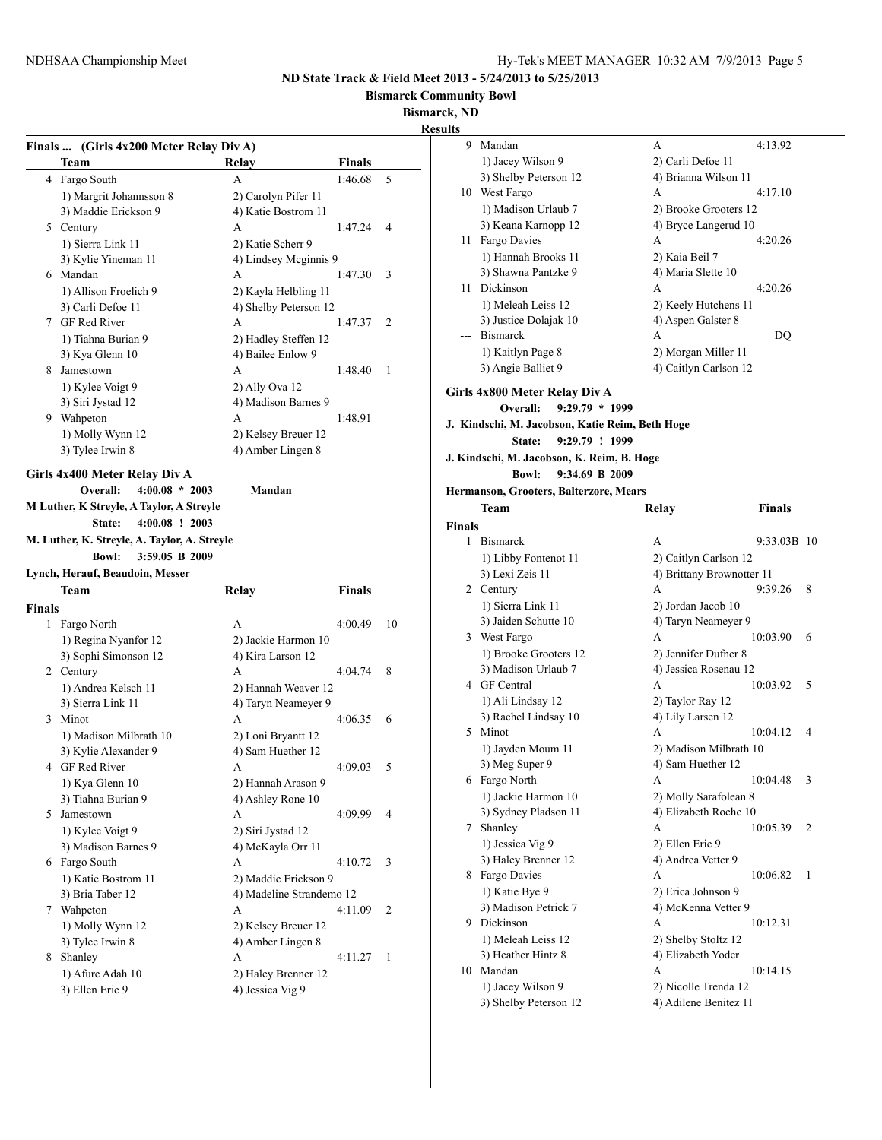**Bismarck Community Bowl**

**Bismarck, ND**

## **Result**

|               | Finals  (Girls 4x200 Meter Relay Div A)      |                          |               |    |
|---------------|----------------------------------------------|--------------------------|---------------|----|
|               | Team                                         | Relay                    | <b>Finals</b> |    |
|               | 4 Fargo South                                | A                        | 1:46.68       | 5  |
|               | 1) Margrit Johannsson 8                      | 2) Carolyn Pifer 11      |               |    |
|               | 3) Maddie Erickson 9                         | 4) Katie Bostrom 11      |               |    |
|               | 5 Century                                    | А                        | 1:47.24       | 4  |
|               | 1) Sierra Link 11                            | 2) Katie Scherr 9        |               |    |
|               | 3) Kylie Yineman 11                          | 4) Lindsey Mcginnis 9    |               |    |
|               | 6 Mandan                                     | A                        | 1:47.30       | 3  |
|               |                                              | 2) Kayla Helbling 11     |               |    |
|               | 1) Allison Froelich 9                        |                          |               |    |
|               | 3) Carli Defoe 11                            | 4) Shelby Peterson 12    |               |    |
|               | 7 GF Red River                               | A                        | 1:47.37       | 2  |
|               | 1) Tiahna Burian 9                           | 2) Hadley Steffen 12     |               |    |
|               | 3) Kya Glenn 10                              | 4) Bailee Enlow 9        |               |    |
|               | 8 Jamestown                                  | A                        | 1:48.40       | 1  |
|               | 1) Kylee Voigt 9                             | 2) Ally Ova 12           |               |    |
|               | 3) Siri Jystad 12                            | 4) Madison Barnes 9      |               |    |
|               | 9 Wahpeton                                   | A                        | 1:48.91       |    |
|               | 1) Molly Wynn 12                             | 2) Kelsey Breuer 12      |               |    |
|               | 3) Tylee Irwin 8                             | 4) Amber Lingen 8        |               |    |
|               |                                              |                          |               |    |
|               | Girls 4x400 Meter Relay Div A                |                          |               |    |
|               | $4:00.08 * 2003$<br>Overall:                 | Mandan                   |               |    |
|               | M Luther, K Streyle, A Taylor, A Streyle     |                          |               |    |
|               | $4:00.08$ ! 2003<br>State:                   |                          |               |    |
|               | M. Luther, K. Streyle, A. Taylor, A. Streyle |                          |               |    |
|               | <b>Bowl:</b><br>3:59.05 B 2009               |                          |               |    |
|               | Lynch, Herauf, Beaudoin, Messer              |                          |               |    |
|               | Team                                         | Relay                    | <b>Finals</b> |    |
| <b>Finals</b> |                                              |                          |               |    |
| 1             |                                              |                          |               |    |
|               |                                              |                          |               |    |
|               | Fargo North                                  | A                        | 4:00.49       | 10 |
|               | 1) Regina Nyanfor 12                         | 2) Jackie Harmon 10      |               |    |
|               | 3) Sophi Simonson 12                         | 4) Kira Larson 12        |               |    |
|               | 2 Century                                    | A                        | 4:04.74       | 8  |
|               | 1) Andrea Kelsch 11                          | 2) Hannah Weaver 12      |               |    |
|               | 3) Sierra Link 11                            | 4) Taryn Neameyer 9      |               |    |
|               | 3 Minot                                      | А                        | 4:06.35       | 6  |
|               | 1) Madison Milbrath 10                       | 2) Loni Bryantt 12       |               |    |
|               | 3) Kylie Alexander 9                         | 4) Sam Huether 12        |               |    |
|               | 4 GF Red River                               | A                        | 4:09.03       | 5  |
|               | 1) Kya Glenn 10                              | 2) Hannah Arason 9       |               |    |
|               | 3) Tiahna Burian 9                           | 4) Ashley Rone 10        |               |    |
| 5             | Jamestown                                    | А                        | 4:09.99       | 4  |
|               | 1) Kylee Voigt 9                             | 2) Siri Jystad 12        |               |    |
|               | 3) Madison Barnes 9                          | 4) McKayla Orr 11        |               |    |
|               | 6 Fargo South                                | А                        | 4:10.72       | 3  |
|               |                                              |                          |               |    |
|               | 1) Katie Bostrom 11                          | 2) Maddie Erickson 9     |               |    |
|               | 3) Bria Taber 12                             | 4) Madeline Strandemo 12 |               |    |
|               | 7 Wahpeton                                   | А                        | 4:11.09       | 2  |
|               | 1) Molly Wynn 12                             | 2) Kelsey Breuer 12      |               |    |
|               | 3) Tylee Irwin 8                             | 4) Amber Lingen 8        |               |    |
| 8             | Shanley                                      | А                        | 4:11.27       | 1  |
|               | 1) Afure Adah 10                             | 2) Haley Brenner 12      |               |    |
|               | 3) Ellen Erie 9                              | 4) Jessica Vig 9         |               |    |

| ults          |                                                               |                           |               |   |
|---------------|---------------------------------------------------------------|---------------------------|---------------|---|
| 9.            | Mandan                                                        | А                         | 4:13.92       |   |
|               | 1) Jacey Wilson 9                                             | 2) Carli Defoe 11         |               |   |
|               | 3) Shelby Peterson 12                                         | 4) Brianna Wilson 11      |               |   |
|               | 10 West Fargo                                                 | A                         | 4:17.10       |   |
|               | 1) Madison Urlaub 7                                           | 2) Brooke Grooters 12     |               |   |
|               | 3) Keana Karnopp 12                                           | 4) Bryce Langerud 10      |               |   |
|               | 11 Fargo Davies                                               | А                         | 4:20.26       |   |
|               | 1) Hannah Brooks 11                                           | 2) Kaia Beil 7            |               |   |
|               | 3) Shawna Pantzke 9                                           | 4) Maria Slette 10        |               |   |
|               | 11 Dickinson                                                  | A                         | 4:20.26       |   |
|               | 1) Meleah Leiss 12                                            | 2) Keely Hutchens 11      |               |   |
|               | 3) Justice Dolajak 10                                         | 4) Aspen Galster 8        |               |   |
|               | --- Bismarck                                                  | А                         | DQ            |   |
|               | 1) Kaitlyn Page 8                                             | 2) Morgan Miller 11       |               |   |
|               | 3) Angie Balliet 9                                            | 4) Caitlyn Carlson 12     |               |   |
|               |                                                               |                           |               |   |
|               | Girls 4x800 Meter Relay Div A<br>$9:29.79 * 1999$<br>Overall: |                           |               |   |
|               | J. Kindschi, M. Jacobson, Katie Reim, Beth Hoge               |                           |               |   |
|               | 9:29.79 ! 1999<br>State:                                      |                           |               |   |
|               |                                                               |                           |               |   |
|               | J. Kindschi, M. Jacobson, K. Reim, B. Hoge<br><b>Bowl:</b>    |                           |               |   |
|               | 9:34.69 B 2009                                                |                           |               |   |
|               | Hermanson, Grooters, Balterzore, Mears                        |                           |               |   |
|               | Team                                                          | Relay                     | <b>Finals</b> |   |
| <b>Finals</b> |                                                               |                           |               |   |
| 1             | <b>Bismarck</b>                                               | А                         | 9:33.03B 10   |   |
|               | 1) Libby Fontenot 11                                          | 2) Caitlyn Carlson 12     |               |   |
|               | 3) Lexi Zeis 11                                               | 4) Brittany Brownotter 11 |               |   |
|               | 2 Century                                                     | A                         | 9:39.26       | 8 |
|               | 1) Sierra Link 11                                             | 2) Jordan Jacob 10        |               |   |
|               | 3) Jaiden Schutte 10                                          | 4) Taryn Neameyer 9       |               |   |
|               | 3 West Fargo                                                  | A                         | 10:03.90      | 6 |
|               | 1) Brooke Grooters 12                                         | 2) Jennifer Dufner 8      |               |   |
|               | 3) Madison Urlaub 7                                           | 4) Jessica Rosenau 12     |               |   |
|               | 4 GF Central                                                  | A                         | 10:03.92      | 5 |
|               | 1) Ali Lindsay 12                                             | 2) Taylor Ray 12          |               |   |
|               | 3) Rachel Lindsay 10                                          | 4) Lily Larsen 12         |               |   |
| 5.            | Minot                                                         | А                         | 10:04.12      | 4 |
|               | 1) Jayden Moum 11                                             | 2) Madison Milbrath 10    |               |   |
|               | 3) Meg Super 9                                                | 4) Sam Huether 12         |               |   |
|               | 6 Fargo North                                                 | A                         | 10:04.48      | 3 |
|               | 1) Jackie Harmon 10                                           | 2) Molly Sarafolean 8     |               |   |
|               | 3) Sydney Pladson 11                                          | 4) Elizabeth Roche 10     |               |   |
|               | 7 Shanley                                                     | А                         | 10:05.39      | 2 |
|               | 1) Jessica Vig 9                                              | 2) Ellen Erie 9           |               |   |
|               | 3) Haley Brenner 12                                           | 4) Andrea Vetter 9        |               |   |
|               | 8 Fargo Davies                                                | А                         | 10:06.82      | 1 |
|               | 1) Katie Bye 9                                                | 2) Erica Johnson 9        |               |   |
|               | 3) Madison Petrick 7                                          | 4) McKenna Vetter 9       |               |   |
|               | 9 Dickinson                                                   | А                         | 10:12.31      |   |
|               | 1) Meleah Leiss 12                                            | 2) Shelby Stoltz 12       |               |   |
|               | 3) Heather Hintz 8                                            | 4) Elizabeth Yoder        |               |   |
|               | 10 Mandan                                                     | А                         | 10:14.15      |   |
|               | 1) Jacey Wilson 9                                             | 2) Nicolle Trenda 12      |               |   |

3) Shelby Peterson 12 4) Adilene Benitez 11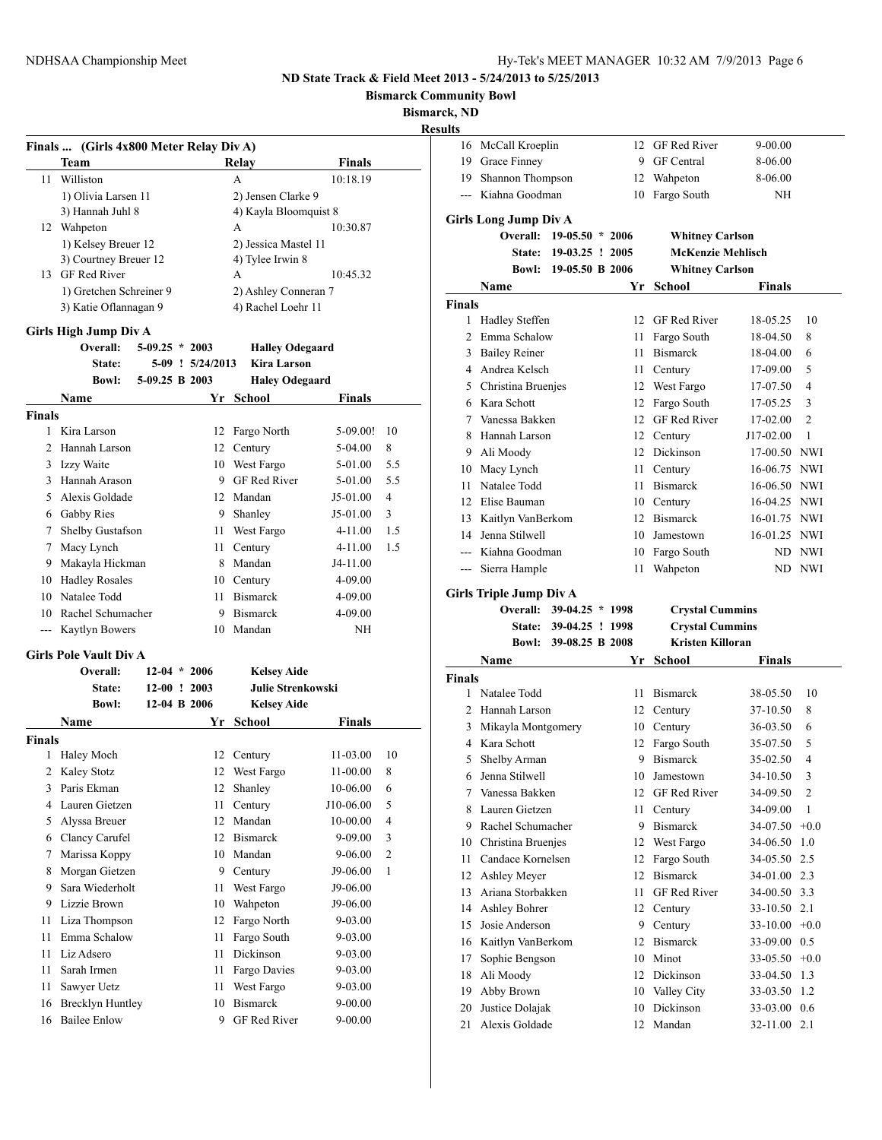**Bismarck Community Bowl**

**Bismarck, ND**

|               | Finals  (Girls 4x800 Meter Relay Div A) |                  |                  |                          |               |                |
|---------------|-----------------------------------------|------------------|------------------|--------------------------|---------------|----------------|
|               | Team                                    |                  |                  | Relay                    | <b>Finals</b> |                |
| 11            | Williston                               |                  |                  | A                        | 10:18.19      |                |
|               | 1) Olivia Larsen 11                     |                  |                  | 2) Jensen Clarke 9       |               |                |
|               | 3) Hannah Juhl 8                        |                  |                  | 4) Kayla Bloomquist 8    |               |                |
|               | 12 Wahpeton                             |                  |                  | A                        | 10:30.87      |                |
|               | 1) Kelsey Breuer 12                     |                  |                  | 2) Jessica Mastel 11     |               |                |
|               | 3) Courtney Breuer 12                   |                  |                  | 4) Tylee Irwin 8         |               |                |
|               | 13 GF Red River                         |                  |                  | A                        | 10:45.32      |                |
|               | 1) Gretchen Schreiner 9                 |                  |                  | 2) Ashley Conneran 7     |               |                |
|               | 3) Katie Oflannagan 9                   |                  |                  | 4) Rachel Loehr 11       |               |                |
|               |                                         |                  |                  |                          |               |                |
|               | Girls High Jump Div A<br>Overall:       | $5-09.25 * 2003$ |                  | <b>Halley Odegaard</b>   |               |                |
|               | State:                                  |                  | 5-09 ! 5/24/2013 | Kira Larson              |               |                |
|               |                                         |                  |                  |                          |               |                |
|               | <b>Bowl:</b>                            | 5-09.25 B 2003   |                  | <b>Haley Odegaard</b>    |               |                |
|               | Name                                    |                  | Yr               | School                   | Finals        |                |
| <b>Finals</b> |                                         |                  |                  |                          |               |                |
| 1             | Kira Larson                             |                  | 12               | Fargo North              | 5-09.00!      | 10             |
| 2             | Hannah Larson                           |                  |                  | 12 Century               | 5-04.00       | 8              |
|               | 3 Izzy Waite                            |                  | 10               | West Fargo               | 5-01.00       | 5.5            |
| 3             | Hannah Arason                           |                  | 9                | GF Red River             | 5-01.00       | 5.5            |
| 5             | Alexis Goldade                          |                  |                  | 12 Mandan                | $J5-01.00$    | 4              |
|               | 6 Gabby Ries                            |                  | 9                | Shanley                  | J5-01.00      | 3              |
| 7             | Shelby Gustafson                        |                  | 11               | West Fargo               | 4-11.00       | 1.5            |
| 7             | Macy Lynch                              |                  | 11               | Century                  | 4-11.00       | 1.5            |
|               | 9 Makayla Hickman                       |                  | 8                | Mandan                   | J4-11.00      |                |
|               | 10 Hadley Rosales                       |                  |                  | 10 Century               | 4-09.00       |                |
|               | 10 Natalee Todd                         |                  | 11               | <b>Bismarck</b>          | 4-09.00       |                |
| 10            | Rachel Schumacher                       |                  | 9                | <b>Bismarck</b>          | 4-09.00       |                |
| ---           | <b>Kaytlyn Bowers</b>                   |                  | 10               | Mandan                   | NH            |                |
|               | <b>Girls Pole Vault Div A</b>           |                  |                  |                          |               |                |
|               | Overall:                                | $12-04 * 2006$   |                  | <b>Kelsey Aide</b>       |               |                |
|               | State:                                  | $12-00$ ! 2003   |                  | <b>Julie Strenkowski</b> |               |                |
|               | <b>Bowl:</b>                            | 12-04 B 2006     |                  | <b>Kelsey Aide</b>       |               |                |
|               |                                         |                  |                  |                          |               |                |
|               | Name                                    |                  | Yr -             | School                   | <b>Finals</b> |                |
| <b>Finals</b> |                                         |                  |                  |                          |               |                |
| 1             | Haley Moch                              |                  | 12               | Century                  | 11-03.00      | 10             |
| 2             | Kaley Stotz                             |                  | 12               | West Fargo               | 11-00.00      | 8              |
| 3             | Paris Ekman                             |                  | 12               | Shanley                  | 10-06.00      | 6              |
| 4             | Lauren Gietzen                          |                  | 11               | Century                  | J10-06.00     | 5              |
| 5             | Alyssa Breuer                           |                  | 12               | Mandan                   | 10-00.00      | 4              |
| 6             | Clancy Carufel                          |                  | 12               | <b>Bismarck</b>          | 9-09.00       | 3              |
| 7             | Marissa Koppy                           |                  | 10               | Mandan                   | 9-06.00       | $\mathfrak{2}$ |
| 8             | Morgan Gietzen                          |                  | 9                | Century                  | J9-06.00      | 1              |
| 9             | Sara Wiederholt                         |                  | 11               | West Fargo               | J9-06.00      |                |
| 9             | Lizzie Brown                            |                  | 10               | Wahpeton                 | J9-06.00      |                |
| 11            | Liza Thompson                           |                  | 12               | Fargo North              | 9-03.00       |                |
| 11            | Emma Schalow                            |                  | 11               | Fargo South              | 9-03.00       |                |
| 11            | Liz Adsero                              |                  | 11               | Dickinson                | 9-03.00       |                |
| 11            | Sarah Irmen                             |                  | 11               | Fargo Davies             | 9-03.00       |                |
| 11            | Sawyer Uetz                             |                  | 11               | West Fargo               | 9-03.00       |                |
| 16            | <b>Brecklyn Huntley</b>                 |                  | 10               | <b>Bismarck</b>          | 9-00.00       |                |
| 16            | <b>Bailee Enlow</b>                     |                  | 9                | GF Red River             | $9 - 00.00$   |                |

| 16                             | McCall Kroeplin       |                   | 12 | GF Red River             | 9-00.00       |                |  |  |  |  |
|--------------------------------|-----------------------|-------------------|----|--------------------------|---------------|----------------|--|--|--|--|
|                                | 19 Grace Finney       |                   | 9  | <b>GF</b> Central        | 8-06.00       |                |  |  |  |  |
|                                | 19 Shannon Thompson   |                   |    | 12 Wahpeton              | 8-06.00       |                |  |  |  |  |
|                                | --- Kiahna Goodman    |                   | 10 | Fargo South              | ΝH            |                |  |  |  |  |
| <b>Girls Long Jump Div A</b>   |                       |                   |    |                          |               |                |  |  |  |  |
|                                |                       |                   |    |                          |               |                |  |  |  |  |
|                                | <b>Overall:</b>       | $19-05.50 * 2006$ |    | <b>Whitney Carlson</b>   |               |                |  |  |  |  |
|                                | <b>State:</b>         | $19-03.25$ ! 2005 |    | <b>McKenzie Mehlisch</b> |               |                |  |  |  |  |
|                                | <b>Bowl:</b>          | 19-05.50 B 2006   |    | <b>Whitney Carlson</b>   |               |                |  |  |  |  |
|                                | Name                  |                   |    | Yr School                | <b>Finals</b> |                |  |  |  |  |
| <b>Finals</b>                  |                       |                   |    |                          |               |                |  |  |  |  |
| 1                              | <b>Hadley Steffen</b> |                   | 12 | GF Red River             | 18-05.25      | 10             |  |  |  |  |
| 2                              | Emma Schalow          |                   | 11 | Fargo South              | 18-04.50      | 8              |  |  |  |  |
|                                | 3 Bailey Reiner       |                   | 11 | <b>Bismarck</b>          | 18-04.00      | 6              |  |  |  |  |
|                                | 4 Andrea Kelsch       |                   | 11 | Century                  | 17-09.00      | 5              |  |  |  |  |
|                                | 5 Christina Bruenjes  |                   | 12 | West Fargo               | 17-07.50      | 4              |  |  |  |  |
|                                | 6 Kara Schott         |                   | 12 | Fargo South              | 17-05.25      | 3              |  |  |  |  |
| 7                              | Vanessa Bakken        |                   | 12 | GF Red River             | 17-02.00      | $\overline{2}$ |  |  |  |  |
| 8                              | Hannah Larson         |                   |    | 12 Century               | J17-02.00     | 1              |  |  |  |  |
| 9                              | Ali Moody             |                   |    | 12 Dickinson             | 17-00.50      | <b>NWI</b>     |  |  |  |  |
|                                | 10 Macy Lynch         |                   |    | 11 Century               | 16-06.75      | NWI            |  |  |  |  |
| 11                             | Natalee Todd          |                   |    | 11 Bismarck              | 16-06.50      | NWI            |  |  |  |  |
| 12                             | Elise Bauman          |                   |    | 10 Century               | 16-04.25      | <b>NWI</b>     |  |  |  |  |
| 13                             | Kaitlyn VanBerkom     |                   |    | 12 Bismarck              | 16-01.75      | NWI            |  |  |  |  |
| 14                             | Jenna Stilwell        |                   |    | 10 Jamestown             | 16-01.25 NWI  |                |  |  |  |  |
|                                | --- Kiahna Goodman    |                   | 10 | Fargo South              |               | ND NWI         |  |  |  |  |
| $---$                          | Sierra Hample         |                   | 11 | Wahpeton                 | ND            | NWI            |  |  |  |  |
| <b>Girls Triple Jump Div A</b> |                       |                   |    |                          |               |                |  |  |  |  |
|                                |                       |                   |    |                          |               |                |  |  |  |  |
|                                | Overall:              | 39-04.25 * 1998   |    | <b>Crystal Cummins</b>   |               |                |  |  |  |  |
|                                | <b>State:</b>         | 39-04.25 ! 1998   |    | <b>Crystal Cummins</b>   |               |                |  |  |  |  |
|                                | <b>Bowl:</b>          | 39-08.25 B 2008   |    | <b>Kristen Killoran</b>  |               |                |  |  |  |  |
|                                | Name                  |                   | Yr | School                   | <b>Finals</b> |                |  |  |  |  |
| <b>Finals</b>                  |                       |                   |    |                          |               |                |  |  |  |  |
| 1                              | Natalee Todd          |                   |    | 11 Bismarck              | 38-05.50      | 10             |  |  |  |  |
|                                | 2 Hannah Larson       |                   |    | 12 Century               | 37-10.50      | 8              |  |  |  |  |
| 3                              | Mikayla Montgomery    |                   |    | 10 Century               | 36-03.50      | 6              |  |  |  |  |
|                                | 4 Kara Schott         |                   | 12 | Fargo South              | 35-07.50      | 5              |  |  |  |  |
| 5.                             | Shelby Arman          |                   | 9  | <b>Bismarck</b>          | 35-02.50      | 4              |  |  |  |  |
|                                | 6 Jenna Stilwell      |                   |    | 10 Jamestown             | 34-10.50      | 3              |  |  |  |  |
| 7                              | Vanessa Bakken        |                   | 12 | <b>GF Red River</b>      | 34-09.50      | 2              |  |  |  |  |
| 8                              | Lauren Gietzen        |                   | 11 | Century                  | 34-09.00      | 1              |  |  |  |  |
| 9                              | Rachel Schumacher     |                   | 9  | <b>Bismarck</b>          | 34-07.50      | $+0.0$         |  |  |  |  |
| 10                             | Christina Bruenjes    |                   | 12 | West Fargo               | 34-06.50      | 1.0            |  |  |  |  |
| 11                             | Candace Kornelsen     |                   | 12 | Fargo South              | 34-05.50      | 2.5            |  |  |  |  |
| 12                             | Ashley Meyer          |                   | 12 | <b>Bismarck</b>          | 34-01.00      | 2.3            |  |  |  |  |
| 13                             | Ariana Storbakken     |                   | 11 | <b>GF Red River</b>      | 34-00.50      | 3.3            |  |  |  |  |
| 14                             | Ashley Bohrer         |                   | 12 | Century                  | 33-10.50      | 2.1            |  |  |  |  |
| 15                             | Josie Anderson        |                   | 9  | Century                  | 33-10.00      | $+0.0$         |  |  |  |  |
| 16                             | Kaitlyn VanBerkom     |                   | 12 | <b>Bismarck</b>          | 33-09.00      | 0.5            |  |  |  |  |
| 17                             | Sophie Bengson        |                   | 10 | Minot                    | 33-05.50      | $+0.0$         |  |  |  |  |
| 18                             | Ali Moody             |                   | 12 | Dickinson                | 33-04.50      | 1.3            |  |  |  |  |
| 19                             | Abby Brown            |                   | 10 | Valley City              | 33-03.50      | 1.2            |  |  |  |  |
| 20                             | Justice Dolajak       |                   | 10 | Dickinson                | 33-03.00      | 0.6            |  |  |  |  |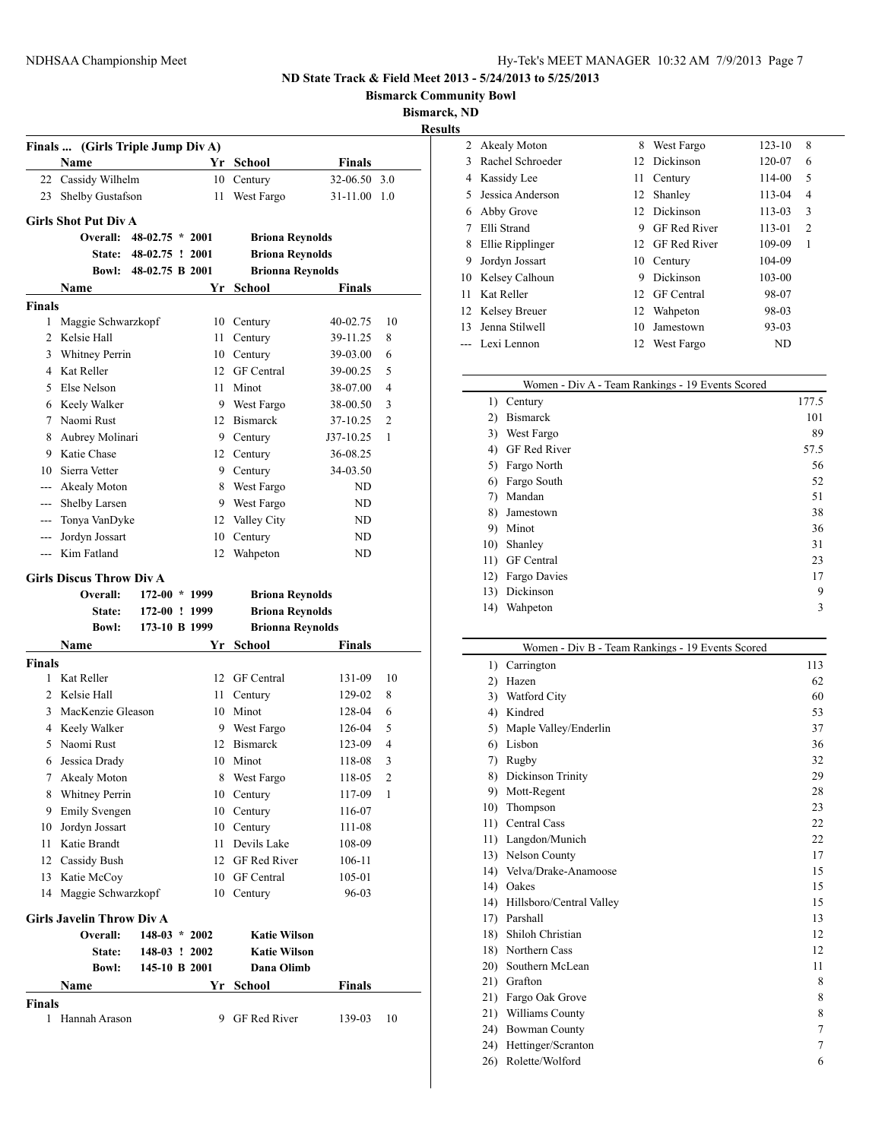**Bismarck Community Bowl**

**Bismarck, ND**

|                                                                                                                                                                                                                                                                                                                                                                                              | Finals  (Girls Triple Jump Div A)<br>Name |                   |    | Yr School               | Finals        |                |
|----------------------------------------------------------------------------------------------------------------------------------------------------------------------------------------------------------------------------------------------------------------------------------------------------------------------------------------------------------------------------------------------|-------------------------------------------|-------------------|----|-------------------------|---------------|----------------|
|                                                                                                                                                                                                                                                                                                                                                                                              | 22 Cassidy Wilhelm                        |                   | 10 | Century                 | 32-06.50 3.0  |                |
| 23                                                                                                                                                                                                                                                                                                                                                                                           | Shelby Gustafson                          |                   | 11 | West Fargo              | 31-11.00 1.0  |                |
|                                                                                                                                                                                                                                                                                                                                                                                              | <b>Girls Shot Put Div A</b>               |                   |    |                         |               |                |
|                                                                                                                                                                                                                                                                                                                                                                                              | Overall:                                  | $48-02.75 * 2001$ |    | <b>Briona Reynolds</b>  |               |                |
|                                                                                                                                                                                                                                                                                                                                                                                              | <b>State:</b>                             | 48-02.75 ! 2001   |    | <b>Briona Reynolds</b>  |               |                |
|                                                                                                                                                                                                                                                                                                                                                                                              | <b>Bowl:</b>                              | 48-02.75 B 2001   |    |                         |               |                |
|                                                                                                                                                                                                                                                                                                                                                                                              |                                           |                   |    | <b>Brionna Reynolds</b> |               |                |
| <b>Finals</b>                                                                                                                                                                                                                                                                                                                                                                                | Name                                      |                   | Yr | School                  | Finals        |                |
| 1                                                                                                                                                                                                                                                                                                                                                                                            | Maggie Schwarzkopf                        |                   |    | 10 Century              | 40-02.75      | 10             |
| 2                                                                                                                                                                                                                                                                                                                                                                                            | Kelsie Hall                               |                   | 11 | Century                 | 39-11.25      | 8              |
| 3                                                                                                                                                                                                                                                                                                                                                                                            | Whitney Perrin                            |                   |    | 10 Century              | 39-03.00      | 6              |
|                                                                                                                                                                                                                                                                                                                                                                                              | 4 Kat Reller                              |                   |    | 12 GF Central           | 39-00.25      | 5              |
| 5                                                                                                                                                                                                                                                                                                                                                                                            | Else Nelson                               |                   | 11 | Minot                   |               | 4              |
|                                                                                                                                                                                                                                                                                                                                                                                              |                                           |                   |    |                         | 38-07.00      |                |
|                                                                                                                                                                                                                                                                                                                                                                                              | 6 Keely Walker                            |                   |    | 9 West Fargo            | 38-00.50      | 3              |
| 7                                                                                                                                                                                                                                                                                                                                                                                            | Naomi Rust                                |                   |    | 12 Bismarck             | 37-10.25      | $\overline{2}$ |
| 8                                                                                                                                                                                                                                                                                                                                                                                            | Aubrey Molinari                           |                   |    | 9 Century               | J37-10.25     | 1              |
| 9                                                                                                                                                                                                                                                                                                                                                                                            | Katie Chase                               |                   |    | 12 Century              | 36-08.25      |                |
| 10                                                                                                                                                                                                                                                                                                                                                                                           | Sierra Vetter                             |                   |    | 9 Century               | 34-03.50      |                |
|                                                                                                                                                                                                                                                                                                                                                                                              | --- Akealy Moton                          |                   |    | 8 West Fargo            | ND            |                |
|                                                                                                                                                                                                                                                                                                                                                                                              | --- Shelby Larsen                         |                   |    | 9 West Fargo            | ND            |                |
| $\frac{1}{2} \frac{1}{2} \frac{1}{2} \frac{1}{2} \frac{1}{2} \frac{1}{2} \frac{1}{2} \frac{1}{2} \frac{1}{2} \frac{1}{2} \frac{1}{2} \frac{1}{2} \frac{1}{2} \frac{1}{2} \frac{1}{2} \frac{1}{2} \frac{1}{2} \frac{1}{2} \frac{1}{2} \frac{1}{2} \frac{1}{2} \frac{1}{2} \frac{1}{2} \frac{1}{2} \frac{1}{2} \frac{1}{2} \frac{1}{2} \frac{1}{2} \frac{1}{2} \frac{1}{2} \frac{1}{2} \frac{$ | Tonya VanDyke                             |                   |    | 12 Valley City          | ND            |                |
| ---                                                                                                                                                                                                                                                                                                                                                                                          | Jordyn Jossart                            |                   | 10 | Century                 | ND            |                |
| ---                                                                                                                                                                                                                                                                                                                                                                                          | Kim Fatland                               |                   | 12 | Wahpeton                | ND            |                |
|                                                                                                                                                                                                                                                                                                                                                                                              | <b>Girls Discus Throw Div A</b>           |                   |    |                         |               |                |
|                                                                                                                                                                                                                                                                                                                                                                                              | Overall:                                  | 172-00 * 1999     |    | <b>Briona Reynolds</b>  |               |                |
|                                                                                                                                                                                                                                                                                                                                                                                              | <b>State:</b>                             | 172-00 ! 1999     |    | <b>Briona Reynolds</b>  |               |                |
|                                                                                                                                                                                                                                                                                                                                                                                              | <b>Bowl:</b>                              | 173-10 B 1999     |    | <b>Brionna Reynolds</b> |               |                |
|                                                                                                                                                                                                                                                                                                                                                                                              | Name                                      |                   | Yr | School                  | Finals        |                |
| <b>Finals</b>                                                                                                                                                                                                                                                                                                                                                                                |                                           |                   |    |                         |               |                |
| 1                                                                                                                                                                                                                                                                                                                                                                                            | Kat Reller                                |                   | 12 | <b>GF</b> Central       | 131-09        | 10             |
| 2                                                                                                                                                                                                                                                                                                                                                                                            | Kelsie Hall                               |                   | 11 | Century                 | 129-02        | 8              |
| 3                                                                                                                                                                                                                                                                                                                                                                                            | MacKenzie Gleason                         |                   |    | 10 Minot                | 128-04        | 6              |
|                                                                                                                                                                                                                                                                                                                                                                                              | 4 Keely Walker                            |                   |    | 9 West Fargo            | 126-04        | 5              |
| 5                                                                                                                                                                                                                                                                                                                                                                                            | Naomi Rust                                |                   | 12 | <b>Bismarck</b>         | 123-09        | $\overline{4}$ |
| 6                                                                                                                                                                                                                                                                                                                                                                                            | Jessica Drady                             |                   | 10 | Minot                   | 118-08        | 3              |
| 7                                                                                                                                                                                                                                                                                                                                                                                            | Akealy Moton                              |                   | 8  | West Fargo              | 118-05        | 2              |
| 8                                                                                                                                                                                                                                                                                                                                                                                            | Whitney Perrin                            |                   | 10 | Century                 | 117-09        | 1              |
| 9                                                                                                                                                                                                                                                                                                                                                                                            | <b>Emily Svengen</b>                      |                   | 10 | Century                 | 116-07        |                |
| 10                                                                                                                                                                                                                                                                                                                                                                                           | Jordyn Jossart                            |                   | 10 | Century                 | 111-08        |                |
| 11                                                                                                                                                                                                                                                                                                                                                                                           | Katie Brandt                              |                   | 11 | Devils Lake             | 108-09        |                |
| 12                                                                                                                                                                                                                                                                                                                                                                                           | Cassidy Bush                              |                   |    | 12 GF Red River         | 106-11        |                |
| 13                                                                                                                                                                                                                                                                                                                                                                                           | Katie McCoy                               |                   |    | 10 GF Central           | 105-01        |                |
| 14                                                                                                                                                                                                                                                                                                                                                                                           | Maggie Schwarzkopf                        |                   | 10 | Century                 | 96-03         |                |
|                                                                                                                                                                                                                                                                                                                                                                                              |                                           |                   |    |                         |               |                |
|                                                                                                                                                                                                                                                                                                                                                                                              | <b>Girls Javelin Throw Div A</b>          |                   |    |                         |               |                |
|                                                                                                                                                                                                                                                                                                                                                                                              | Overall:                                  | $148-03 * 2002$   |    | <b>Katie Wilson</b>     |               |                |
|                                                                                                                                                                                                                                                                                                                                                                                              | <b>State:</b>                             | 148-03 ! 2002     |    | <b>Katie Wilson</b>     |               |                |
|                                                                                                                                                                                                                                                                                                                                                                                              | <b>Bowl:</b>                              | 145-10 B 2001     |    | Dana Olimb              |               |                |
|                                                                                                                                                                                                                                                                                                                                                                                              | Name                                      |                   | Yr | <b>School</b>           | <b>Finals</b> |                |
| <b>Finals</b>                                                                                                                                                                                                                                                                                                                                                                                | 1 Hannah Arason                           |                   | 9  | GF Red River            | 139-03        | 10             |
|                                                                                                                                                                                                                                                                                                                                                                                              |                                           |                   |    |                         |               |                |

|     | 2 Akealy Moton   | 8  | West Fargo          | 123-10    | 8              |  |
|-----|------------------|----|---------------------|-----------|----------------|--|
| 3   | Rachel Schroeder |    | 12 Dickinson        | 120-07    | 6              |  |
| 4   | Kassidy Lee      | 11 | Century             | 114-00    | 5              |  |
| 5   | Jessica Anderson |    | 12 Shanley          | 113-04    | 4              |  |
| 6   | Abby Grove       |    | 12 Dickinson        | 113-03    | 3              |  |
|     | Elli Strand      | 9  | <b>GF</b> Red River | 113-01    | $\overline{c}$ |  |
| 8   | Ellie Ripplinger |    | 12 GF Red River     | 109-09    | 1              |  |
| 9   | Jordyn Jossart   |    | 10 Century          | 104-09    |                |  |
| 10  | Kelsey Calhoun   | 9  | Dickinson           | 103-00    |                |  |
| 11  | Kat Reller       |    | 12 GF Central       | 98-07     |                |  |
|     | 12 Kelsey Breuer |    | 12 Wahpeton         | 98-03     |                |  |
| 13. | Jenna Stilwell   | 10 | Jamestown           | $93 - 03$ |                |  |
| --- | Lexi Lennon      | 12 | West Fargo          | ND        |                |  |
|     |                  |    |                     |           |                |  |

|     | Women - Div A - Team Rankings - 19 Events Scored |       |
|-----|--------------------------------------------------|-------|
| 1)  | Century                                          | 177.5 |
| 2)  | <b>Bismarck</b>                                  | 101   |
| 3)  | West Fargo                                       | 89    |
| 4)  | <b>GF Red River</b>                              | 57.5  |
| 5)  | Fargo North                                      | 56    |
| 6)  | Fargo South                                      | 52    |
| 7)  | Mandan                                           | 51    |
| 8)  | Jamestown                                        | 38    |
| 9)  | Minot                                            | 36    |
| 10) | Shanley                                          | 31    |
| 11) | <b>GF</b> Central                                | 23    |
| 12) | Fargo Davies                                     | 17    |
| 13) | Dickinson                                        | 9     |
| 14) | Wahpeton                                         | 3     |

|              | Women - Div B - Team Rankings - 19 Events Scored |     |
|--------------|--------------------------------------------------|-----|
| 1)           | Carrington                                       | 113 |
| $\mathbf{2}$ | Hazen                                            | 62  |
| 3)           | Watford City                                     | 60  |
| 4)           | Kindred                                          | 53  |
| 5)           | Maple Valley/Enderlin                            | 37  |
| 6)           | Lisbon                                           | 36  |
| 7)           | Rugby                                            | 32  |
| 8)           | Dickinson Trinity                                | 29  |
| 9)           | Mott-Regent                                      | 28  |
| 10)          | Thompson                                         | 23  |
| 11)          | Central Cass                                     | 22  |
| 11)          | Langdon/Munich                                   | 22  |
|              | 13) Nelson County                                | 17  |
| 14)          | Velva/Drake-Anamoose                             | 15  |
| 14)          | Oakes                                            | 15  |
| 14)          | Hillsboro/Central Valley                         | 15  |
| 17)          | Parshall                                         | 13  |
| 18)          | Shiloh Christian                                 | 12  |
| 18)          | Northern Cass                                    | 12  |
| 20)          | Southern McLean                                  | 11  |
| 21)          | Grafton                                          | 8   |
| 21)          | Fargo Oak Grove                                  | 8   |
| 21)          | Williams County                                  | 8   |
| 24)          | <b>Bowman County</b>                             | 7   |
| 24)          | Hettinger/Scranton                               | 7   |
| 26)          | Rolette/Wolford                                  | 6   |